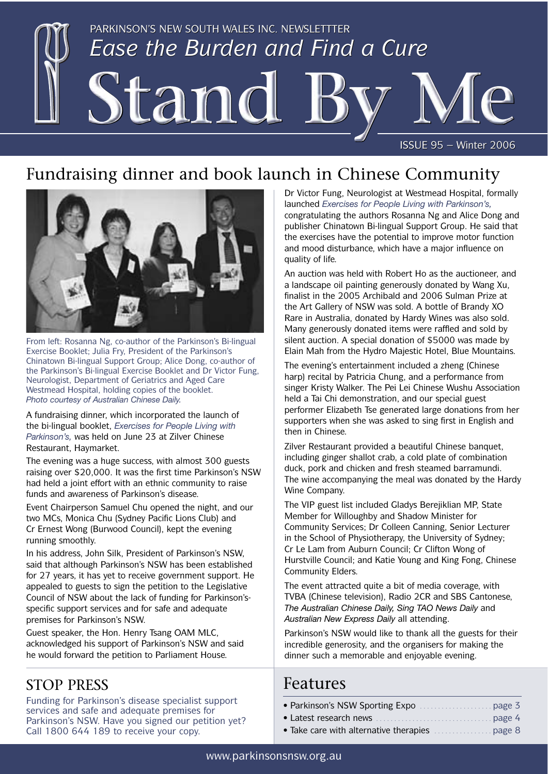

# Fundraising dinner and book launch in Chinese Community



From left: Rosanna Ng, co-author of the Parkinson's Bi-lingual Exercise Booklet; Julia Fry, President of the Parkinson's Chinatown Bi-lingual Support Group; Alice Dong, co-author of the Parkinson's Bi-lingual Exercise Booklet and Dr Victor Fung, Neurologist, Department of Geriatrics and Aged Care Westmead Hospital, holding copies of the booklet. *Photo courtesy of Australian Chinese Daily.*

A fundraising dinner, which incorporated the launch of the bi-lingual booklet, *Exercises for People Living with Parkinson's,* was held on June 23 at Zilver Chinese Restaurant, Haymarket.

The evening was a huge success, with almost 300 guests raising over \$20,000. It was the first time Parkinson's NSW had held a joint effort with an ethnic community to raise funds and awareness of Parkinson's disease.

Event Chairperson Samuel Chu opened the night, and our two MCs, Monica Chu (Sydney Pacific Lions Club) and Cr Ernest Wong (Burwood Council), kept the evening running smoothly.

In his address, John Silk, President of Parkinson's NSW, said that although Parkinson's NSW has been established for 27 years, it has yet to receive government support. He appealed to guests to sign the petition to the Legislative Council of NSW about the lack of funding for Parkinson'sspecific support services and for safe and adequate premises for Parkinson's NSW.

Guest speaker, the Hon. Henry Tsang OAM MLC, acknowledged his support of Parkinson's NSW and said he would forward the petition to Parliament House.

## STOP PRESS

Funding for Parkinson's disease specialist support services and safe and adequate premises for Parkinson's NSW. Have you signed our petition yet? Call 1800 644 189 to receive your copy.

Dr Victor Fung, Neurologist at Westmead Hospital, formally launched *Exercises for People Living with Parkinson's,* congratulating the authors Rosanna Ng and Alice Dong and publisher Chinatown Bi-lingual Support Group. He said that the exercises have the potential to improve motor function and mood disturbance, which have a major influence on quality of life.

An auction was held with Robert Ho as the auctioneer, and a landscape oil painting generously donated by Wang Xu, finalist in the 2005 Archibald and 2006 Sulman Prize at the Art Gallery of NSW was sold. A bottle of Brandy XO Rare in Australia, donated by Hardy Wines was also sold. Many generously donated items were raffled and sold by silent auction. A special donation of \$5000 was made by Elain Mah from the Hydro Majestic Hotel, Blue Mountains.

The evening's entertainment included a zheng (Chinese harp) recital by Patricia Chung, and a performance from singer Kristy Walker. The Pei Lei Chinese Wushu Association held a Tai Chi demonstration, and our special guest performer Elizabeth Tse generated large donations from her supporters when she was asked to sing first in English and then in Chinese.

Zilver Restaurant provided a beautiful Chinese banquet, including ginger shallot crab, a cold plate of combination duck, pork and chicken and fresh steamed barramundi. The wine accompanying the meal was donated by the Hardy Wine Company.

The VIP guest list included Gladys Berejiklian MP, State Member for Willoughby and Shadow Minister for Community Services; Dr Colleen Canning, Senior Lecturer in the School of Physiotherapy, the University of Sydney; Cr Le Lam from Auburn Council; Cr Clifton Wong of Hurstville Council; and Katie Young and King Fong, Chinese Community Elders.

The event attracted quite a bit of media coverage, with TVBA (Chinese television), Radio 2CR and SBS Cantonese, *The Australian Chinese Daily, Sing TAO News Daily* and *Australian New Express Daily* all attending.

Parkinson's NSW would like to thank all the guests for their incredible generosity, and the organisers for making the dinner such a memorable and enjoyable evening.

## Features

- Parkinson's NSW Sporting Expo . . . . . . . . . . . . . . . . . . . . page 3 • Latest research news . . . . . . . . . . . . . . . . . . . . . . . . . . . . . . . . page 4
- Take care with alternative therapies . . . . . . . . . . . . . . . . page 8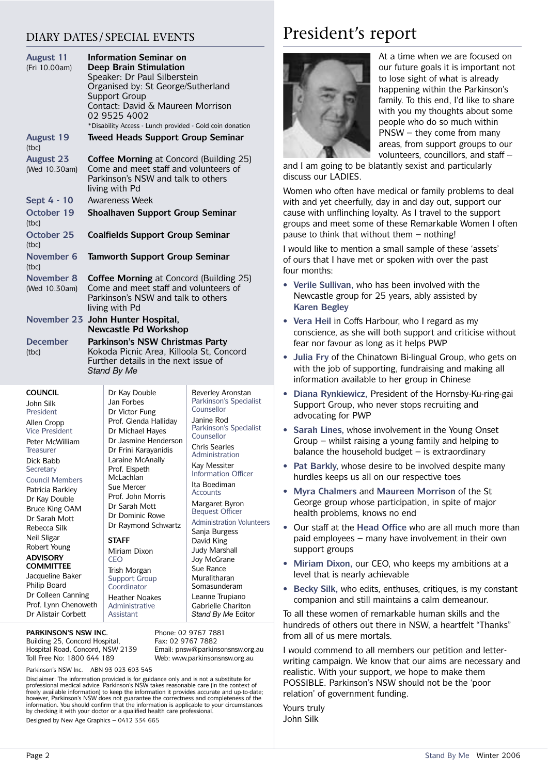### DIARY DATES/ SPECIAL EVENTS

| <b>August 11</b><br>(Fri 10.00am) | Information Seminar on<br>Deep Brain Stimulation<br>Speaker: Dr Paul Silberstein<br>Organised by: St George/Sutherland<br><b>Support Group</b><br>Contact: David & Maureen Morrison<br>02 9525 4002<br>* Disability Access - Lunch provided - Gold coin donation |                                          |                          |
|-----------------------------------|------------------------------------------------------------------------------------------------------------------------------------------------------------------------------------------------------------------------------------------------------------------|------------------------------------------|--------------------------|
| <b>August 19</b><br>(tbc)         |                                                                                                                                                                                                                                                                  | <b>Tweed Heads Support Group Seminar</b> |                          |
| <b>August 23</b><br>(Wed 10.30am) | <b>Coffee Morning</b> at Concord (Building 25)<br>Come and meet staff and volunteers of<br>Parkinson's NSW and talk to others<br>living with Pd                                                                                                                  |                                          |                          |
| Sept 4 - 10                       | <b>Awareness Week</b>                                                                                                                                                                                                                                            |                                          |                          |
| October 19<br>(tbc)               | Shoalhaven Support Group Seminar                                                                                                                                                                                                                                 |                                          |                          |
| <b>October 25</b><br>(tbc)        | <b>Coalfields Support Group Seminar</b>                                                                                                                                                                                                                          |                                          |                          |
| November 6<br>(tbc)               |                                                                                                                                                                                                                                                                  | <b>Tamworth Support Group Seminar</b>    |                          |
| November 8<br>(Wed 10.30am)       | <b>Coffee Morning</b> at Concord (Building 25)<br>Come and meet staff and volunteers of<br>Parkinson's NSW and talk to others<br>living with Pd                                                                                                                  |                                          |                          |
|                                   | November 23 John Hunter Hospital,<br><b>Newcastle Pd Workshop</b>                                                                                                                                                                                                |                                          |                          |
| <b>December</b><br>(tbc)          | Parkinson's NSW Christmas Party<br>Kokoda Picnic Area, Killoola St, Concord<br>Further details in the next issue of<br>Stand By Me                                                                                                                               |                                          |                          |
| <b>COUNCIL</b>                    |                                                                                                                                                                                                                                                                  | Dr Kay Double                            | <b>Beverley Aronstan</b> |

### **COUNCIL**

John Silk President Allen Cropp Vice President Peter McWilliam Treasurer Dick Babb **Secretary** 

### Council Members

Patricia Barkley Dr Kay Double Bruce King OAM Dr Sarah Mott Rebecca Silk Neil Sligar Robert Young

#### **ADVISORY COMMITTEE**

Jacqueline Baker Philip Board Dr Colleen Canning Prof. Lynn Chenoweth Dr Alistair Corbett

Dr Kay Double Jan Forbes Dr Victor Fung Prof. Glenda Halliday Dr Michael Hayes Dr Jasmine Henderson Dr Frini Karayanidis Laraine McAnally Prof. Elspeth **McLachlan** Sue Mercer Prof. John Morris Dr Sarah Mott Dr Dominic Rowe Dr Raymond Schwartz

### **STAFF**

Miriam Dixon CEO

Trish Morgan Support Group Coordinator Heather Noakes Administrative Assistant

**PARKINSON'S NSW INC.** Building 25, Concord Hospital, Hospital Road, Concord, NSW 2139 Toll Free No: 1800 644 189

Phone: 02 9767 7881 Fax: 02 9767 7882 Email: pnsw@parkinsonsnsw.org.au Web: www.parkinsonsnsw.org.au

Parkinson's Specialist

Parkinson's Specialist

Counsellor Janine Rod

Counsellor Chris Searles Administration Kay Messiter Information Officer Ita Boediman Accounts Margaret Byron Bequest Officer Administration Volunteers Sanja Burgess David King Judy Marshall Joy McGrane Sue Rance Muralitharan Somasunderam Leanne Trupiano Gabrielle Chariton *Stand By Me* Editor

Parkinson's NSW Inc. ABN 93 023 603 545

Disclaimer: The information provided is for guidance only and is not a substitute for<br>professional medical advice. Parkinson's NSW takes reasonable care (in the context of<br>freely available information) to keep the informat however, Parkinson's NSW does not guarantee the correctness and completeness of the information. You should confirm that the information is applicable to your circumstances by checking it with your doctor or a qualified health care professional. Designed by New Age Graphics – 0412 334 665

# President's report



At a time when we are focused on our future goals it is important not to lose sight of what is already happening within the Parkinson's family. To this end, I'd like to share with you my thoughts about some people who do so much within PNSW – they come from many areas, from support groups to our volunteers, councillors, and staff –

and I am going to be blatantly sexist and particularly discuss our LADIES.

Women who often have medical or family problems to deal with and yet cheerfully, day in and day out, support our cause with unflinching loyalty. As I travel to the support groups and meet some of these Remarkable Women I often pause to think that without them – nothing!

I would like to mention a small sample of these 'assets' of ours that I have met or spoken with over the past four months:

- **Verile Sullivan,** who has been involved with the Newcastle group for 25 years, ably assisted by **Karen Begley**
- **Vera Heil** in Coffs Harbour, who I regard as my conscience, as she will both support and criticise without fear nor favour as long as it helps PWP
- **Julia Fry** of the Chinatown Bi-lingual Group, who gets on with the job of supporting, fundraising and making all information available to her group in Chinese
- **Diana Rynkiewicz,** President of the Hornsby-Ku-ring-gai Support Group, who never stops recruiting and advocating for PWP
- **Sarah Lines,** whose involvement in the Young Onset Group – whilst raising a young family and helping to balance the household budget  $-$  is extraordinary
- **Pat Barkly,** whose desire to be involved despite many hurdles keeps us all on our respective toes
- **Myra Chalmers** and **Maureen Morrison** of the St George group whose participation, in spite of major health problems, knows no end
- Our staff at the **Head Office** who are all much more than paid employees – many have involvement in their own support groups
- **Miriam Dixon,** our CEO, who keeps my ambitions at a level that is nearly achievable
- **Becky Silk,** who edits, enthuses, critiques, is my constant companion and still maintains a calm demeanour.

To all these women of remarkable human skills and the hundreds of others out there in NSW, a heartfelt "Thanks" from all of us mere mortals.

I would commend to all members our petition and letterwriting campaign. We know that our aims are necessary and realistic. With your support, we hope to make them POSSIBLE. Parkinson's NSW should not be the 'poor relation' of government funding.

Yours truly John Silk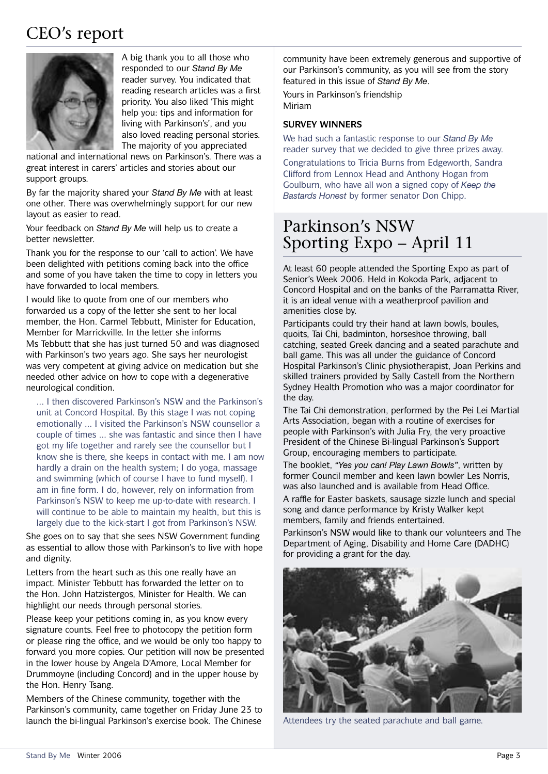# CEO's report



A big thank you to all those who responded to our *Stand By Me* reader survey. You indicated that reading research articles was a first priority. You also liked 'This might help you: tips and information for living with Parkinson's', and you also loved reading personal stories. The majority of you appreciated

national and international news on Parkinson's. There was a great interest in carers' articles and stories about our support groups.

By far the majority shared your *Stand By Me* with at least one other. There was overwhelmingly support for our new layout as easier to read.

Your feedback on *Stand By Me* will help us to create a better newsletter.

Thank you for the response to our 'call to action'. We have been delighted with petitions coming back into the office and some of you have taken the time to copy in letters you have forwarded to local members.

I would like to quote from one of our members who forwarded us a copy of the letter she sent to her local member, the Hon. Carmel Tebbutt, Minister for Education, Member for Marrickville. In the letter she informs Ms Tebbutt that she has just turned 50 and was diagnosed with Parkinson's two years ago. She says her neurologist was very competent at giving advice on medication but she needed other advice on how to cope with a degenerative neurological condition.

... I then discovered Parkinson's NSW and the Parkinson's unit at Concord Hospital. By this stage I was not coping emotionally ... I visited the Parkinson's NSW counsellor a couple of times ... she was fantastic and since then I have got my life together and rarely see the counsellor but I know she is there, she keeps in contact with me. I am now hardly a drain on the health system; I do yoga, massage and swimming (which of course I have to fund myself). I am in fine form. I do, however, rely on information from Parkinson's NSW to keep me up-to-date with research. I will continue to be able to maintain my health, but this is largely due to the kick-start I got from Parkinson's NSW.

She goes on to say that she sees NSW Government funding as essential to allow those with Parkinson's to live with hope and dignity.

Letters from the heart such as this one really have an impact. Minister Tebbutt has forwarded the letter on to the Hon. John Hatzistergos, Minister for Health. We can highlight our needs through personal stories.

Please keep your petitions coming in, as you know every signature counts. Feel free to photocopy the petition form or please ring the office, and we would be only too happy to forward you more copies. Our petition will now be presented in the lower house by Angela D'Amore, Local Member for Drummoyne (including Concord) and in the upper house by the Hon. Henry Tsang.

Members of the Chinese community, together with the Parkinson's community, came together on Friday June 23 to launch the bi-lingual Parkinson's exercise book. The Chinese

community have been extremely generous and supportive of our Parkinson's community, as you will see from the story featured in this issue of *Stand By Me*.

Yours in Parkinson's friendship Miriam

#### **SURVEY WINNERS**

We had such a fantastic response to our *Stand By Me* reader survey that we decided to give three prizes away.

Congratulations to Tricia Burns from Edgeworth, Sandra Clifford from Lennox Head and Anthony Hogan from Goulburn, who have all won a signed copy of *Keep the Bastards Honest* by former senator Don Chipp.

## Parkinson's NSW Sporting Expo – April 11

At least 60 people attended the Sporting Expo as part of Senior's Week 2006. Held in Kokoda Park, adjacent to Concord Hospital and on the banks of the Parramatta River, it is an ideal venue with a weatherproof pavilion and amenities close by.

Participants could try their hand at lawn bowls, boules, quoits, Tai Chi, badminton, horseshoe throwing, ball catching, seated Greek dancing and a seated parachute and ball game. This was all under the guidance of Concord Hospital Parkinson's Clinic physiotherapist, Joan Perkins and skilled trainers provided by Sally Castell from the Northern Sydney Health Promotion who was a major coordinator for the day.

The Tai Chi demonstration, performed by the Pei Lei Martial Arts Association, began with a routine of exercises for people with Parkinson's with Julia Fry, the very proactive President of the Chinese Bi-lingual Parkinson's Support Group, encouraging members to participate.

The booklet, *"Yes you can! Play Lawn Bowls"*, written by former Council member and keen lawn bowler Les Norris, was also launched and is available from Head Office.

A raffle for Easter baskets, sausage sizzle lunch and special song and dance performance by Kristy Walker kept members, family and friends entertained.

Parkinson's NSW would like to thank our volunteers and The Department of Aging, Disability and Home Care (DADHC) for providing a grant for the day.



Attendees try the seated parachute and ball game.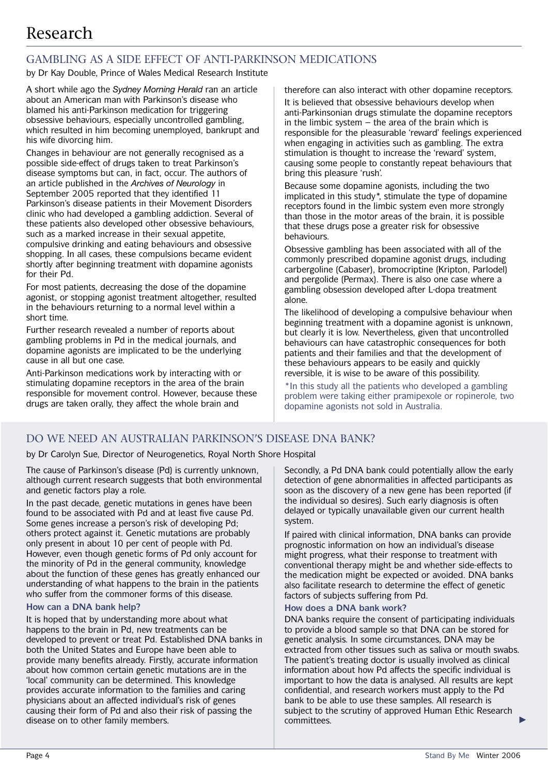# Research

### GAMBLING AS A SIDE EFFECT OF ANTI-PARKINSON MEDICATIONS

by Dr Kay Double, Prince of Wales Medical Research Institute

A short while ago the *Sydney Morning Herald* ran an article about an American man with Parkinson's disease who blamed his anti-Parkinson medication for triggering obsessive behaviours, especially uncontrolled gambling, which resulted in him becoming unemployed, bankrupt and his wife divorcing him.

Changes in behaviour are not generally recognised as a possible side-effect of drugs taken to treat Parkinson's disease symptoms but can, in fact, occur. The authors of an article published in the *Archives of Neurology* in September 2005 reported that they identified 11 Parkinson's disease patients in their Movement Disorders clinic who had developed a gambling addiction. Several of these patients also developed other obsessive behaviours, such as a marked increase in their sexual appetite, compulsive drinking and eating behaviours and obsessive shopping. In all cases, these compulsions became evident shortly after beginning treatment with dopamine agonists for their Pd.

For most patients, decreasing the dose of the dopamine agonist, or stopping agonist treatment altogether, resulted in the behaviours returning to a normal level within a short time.

Further research revealed a number of reports about gambling problems in Pd in the medical journals, and dopamine agonists are implicated to be the underlying cause in all but one case.

Anti-Parkinson medications work by interacting with or stimulating dopamine receptors in the area of the brain responsible for movement control. However, because these drugs are taken orally, they affect the whole brain and

therefore can also interact with other dopamine receptors.

It is believed that obsessive behaviours develop when anti-Parkinsonian drugs stimulate the dopamine receptors in the limbic system  $-$  the area of the brain which is responsible for the pleasurable 'reward' feelings experienced when engaging in activities such as gambling. The extra stimulation is thought to increase the 'reward' system, causing some people to constantly repeat behaviours that bring this pleasure 'rush'.

Because some dopamine agonists, including the two implicated in this study\*, stimulate the type of dopamine receptors found in the limbic system even more strongly than those in the motor areas of the brain, it is possible that these drugs pose a greater risk for obsessive behaviours.

Obsessive gambling has been associated with all of the commonly prescribed dopamine agonist drugs, including carbergoline (Cabaser), bromocriptine (Kripton, Parlodel) and pergolide (Permax). There is also one case where a gambling obsession developed after L-dopa treatment alone.

The likelihood of developing a compulsive behaviour when beginning treatment with a dopamine agonist is unknown, but clearly it is low. Nevertheless, given that uncontrolled behaviours can have catastrophic consequences for both patients and their families and that the development of these behaviours appears to be easily and quickly reversible, it is wise to be aware of this possibility.

\*In this study all the patients who developed a gambling problem were taking either pramipexole or ropinerole, two dopamine agonists not sold in Australia.

### DO WE NEED AN AUSTRALIAN PARKINSON'S DISEASE DNA BANK?

by Dr Carolyn Sue, Director of Neurogenetics, Royal North Shore Hospital

The cause of Parkinson's disease (Pd) is currently unknown, although current research suggests that both environmental and genetic factors play a role.

In the past decade, genetic mutations in genes have been found to be associated with Pd and at least five cause Pd. Some genes increase a person's risk of developing Pd; others protect against it. Genetic mutations are probably only present in about 10 per cent of people with Pd. However, even though genetic forms of Pd only account for the minority of Pd in the general community, knowledge about the function of these genes has greatly enhanced our understanding of what happens to the brain in the patients who suffer from the commoner forms of this disease.

#### **How can a DNA bank help?**

It is hoped that by understanding more about what happens to the brain in Pd, new treatments can be developed to prevent or treat Pd. Established DNA banks in both the United States and Europe have been able to provide many benefits already. Firstly, accurate information about how common certain genetic mutations are in the 'local' community can be determined. This knowledge provides accurate information to the families and caring physicians about an affected individual's risk of genes causing their form of Pd and also their risk of passing the disease on to other family members.

Secondly, a Pd DNA bank could potentially allow the early detection of gene abnormalities in affected participants as soon as the discovery of a new gene has been reported (if the individual so desires). Such early diagnosis is often delayed or typically unavailable given our current health system.

If paired with clinical information, DNA banks can provide prognostic information on how an individual's disease might progress, what their response to treatment with conventional therapy might be and whether side-effects to the medication might be expected or avoided. DNA banks also facilitate research to determine the effect of genetic factors of subjects suffering from Pd.

#### **How does a DNA bank work?**

DNA banks require the consent of participating individuals to provide a blood sample so that DNA can be stored for genetic analysis. In some circumstances, DNA may be extracted from other tissues such as saliva or mouth swabs. The patient's treating doctor is usually involved as clinical information about how Pd affects the specific individual is important to how the data is analysed. All results are kept confidential, and research workers must apply to the Pd bank to be able to use these samples. All research is subject to the scrutiny of approved Human Ethic Research committees.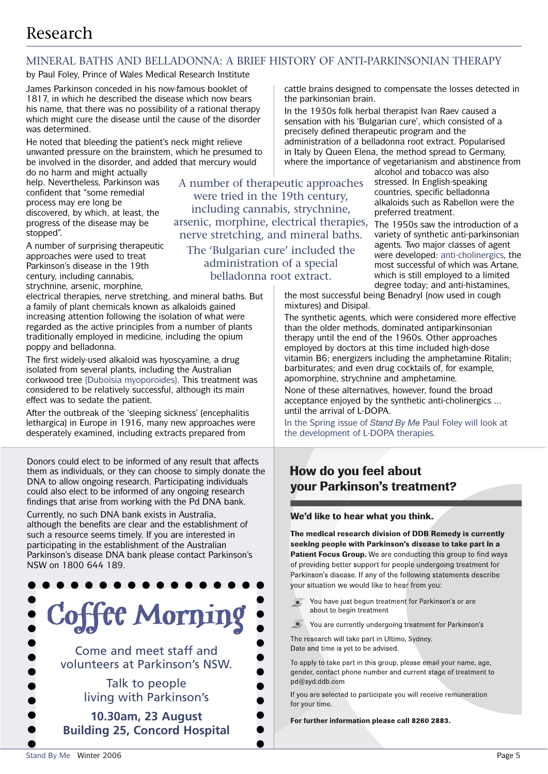# Research

### MINERAL BATHS AND BELLADONNA: A BRIEF HISTORY OF ANTI-PARKINSONIAN THERAPY

by Paul Foley, Prince of Wales Medical Research Institute

James Parkinson conceded in his now-famous booklet of 1817, in which he described the disease which now bears his name, that there was no possibility of a rational therapy which might cure the disease until the cause of the disorder was determined.

He noted that bleeding the patient's neck might relieve unwanted pressure on the brainstem, which he presumed to be involved in the disorder, and added that mercury would

do no harm and might actually help. Nevertheless, Parkinson was confident that "some remedial process may ere long be discovered, by which, at least, the progress of the disease may be stopped".

A number of surprising therapeutic approaches were used to treat Parkinson's disease in the 19th century, including cannabis, strychnine, arsenic, morphine,

electrical therapies, nerve stretching, and mineral baths. But a family of plant chemicals known as alkaloids gained increasing attention following the isolation of what were regarded as the active principles from a number of plants traditionally employed in medicine, including the opium poppy and belladonna.

The first widely-used alkaloid was hyoscyamine, a drug isolated from several plants, including the Australian corkwood tree (Duboisia myoporoides). This treatment was considered to be relatively successful, although its main effect was to sedate the patient.

After the outbreak of the 'sleeping sickness' (encephalitis lethargica) in Europe in 1916, many new approaches were desperately examined, including extracts prepared from

Donors could elect to be informed of any result that affects them as individuals, or they can choose to simply donate the DNA to allow ongoing research. Participating individuals could also elect to be informed of any ongoing research findings that arise from working with the Pd DNA bank.

Currently, no such DNA bank exists in Australia, although the benefits are clear and the establishment of such a resource seems timely. If you are interested in participating in the establishment of the Australian Parkinson's disease DNA bank please contact Parkinson's NSW on 1800 644 189.



A number of therapeutic approaches were tried in the 19th century, including cannabis, strychnine, arsenic, morphine, electrical therapies, nerve stretching, and mineral baths.

The 'Bulgarian cure' included the administration of a special belladonna root extract.

cattle brains designed to compensate the losses detected in the parkinsonian brain.

In the 1930s folk herbal therapist Ivan Raev caused a sensation with his 'Bulgarian cure', which consisted of a precisely defined therapeutic program and the administration of a belladonna root extract. Popularised in Italy by Queen Elena, the method spread to Germany, where the importance of vegetarianism and abstinence from

alcohol and tobacco was also stressed. In English-speaking countries, specific belladonna alkaloids such as Rabellon were the preferred treatment.

The 1950s saw the introduction of a variety of synthetic anti-parkinsonian agents. Two major classes of agent were developed: anti-cholinergics, the most successful of which was Artane, which is still employed to a limited degree today; and anti-histamines,

the most successful being Benadryl (now used in cough mixtures) and Disipal.

The synthetic agents, which were considered more effective than the older methods, dominated antiparkinsonian therapy until the end of the 1960s. Other approaches employed by doctors at this time included high-dose vitamin B6; energizers including the amphetamine Ritalin; barbiturates; and even drug cocktails of, for example, apomorphine, strychnine and amphetamine.

None of these alternatives, however, found the broad acceptance enjoyed by the synthetic anti-cholinergics ... until the arrival of L-DOPA.

In the Spring issue of *Stand By Me* Paul Foley will look at the development of L-DOPA therapies.

## How do you feel about **your Parkinson's treatment?**

#### We'd like to hear what you think.

The medical research division of DDB Remedy is currently seeking people with Parkinson's disease to take part in a Patient Focus Group. We are conducting this group to find ways of providing better support for people undergoing treatment for Parkinson's disease. If any of the following statements describe your situation we would like to hear from you:

- You have just begun treatment for Parkinson's or are  $\odot$ about to begin treatment
- **O** You are currently undergoing treatment for Parkinson's

The research will take part in Ultimo, Sydney. Date and time is yet to be advised.

To apply to take part in this group, please email your name, age, gender, contact phone number and current stage of treatment to pd@syd.ddb.com

If you are selected to participate you will receive remuneration for your time.

For further information please call 8260 2883.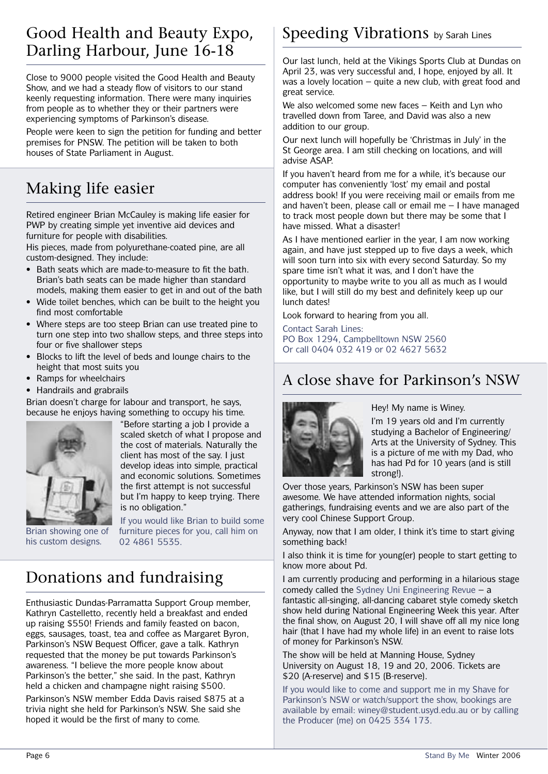## Good Health and Beauty Expo, Darling Harbour, June 16-18

Close to 9000 people visited the Good Health and Beauty Show, and we had a steady flow of visitors to our stand keenly requesting information. There were many inquiries from people as to whether they or their partners were experiencing symptoms of Parkinson's disease.

People were keen to sign the petition for funding and better premises for PNSW. The petition will be taken to both houses of State Parliament in August.

# Making life easier

Retired engineer Brian McCauley is making life easier for PWP by creating simple yet inventive aid devices and furniture for people with disabilities.

His pieces, made from polyurethane-coated pine, are all custom-designed. They include:

- Bath seats which are made-to-measure to fit the bath. Brian's bath seats can be made higher than standard models, making them easier to get in and out of the bath
- Wide toilet benches, which can be built to the height you find most comfortable
- Where steps are too steep Brian can use treated pine to turn one step into two shallow steps, and three steps into four or five shallower steps
- Blocks to lift the level of beds and lounge chairs to the height that most suits you
- Ramps for wheelchairs
- Handrails and grabrails

Brian doesn't charge for labour and transport, he says, because he enjoys having something to occupy his time.



"Before starting a job I provide a scaled sketch of what I propose and the cost of materials. Naturally the client has most of the say. I just develop ideas into simple, practical and economic solutions. Sometimes the first attempt is not successful but I'm happy to keep trying. There is no obligation."

Brian showing one of his custom designs.

If you would like Brian to build some furniture pieces for you, call him on 02 4861 5535.

# Donations and fundraising

Enthusiastic Dundas-Parramatta Support Group member, Kathryn Castelletto, recently held a breakfast and ended up raising \$550! Friends and family feasted on bacon, eggs, sausages, toast, tea and coffee as Margaret Byron, Parkinson's NSW Bequest Officer, gave a talk. Kathryn requested that the money be put towards Parkinson's awareness. "I believe the more people know about Parkinson's the better," she said. In the past, Kathryn held a chicken and champagne night raising \$500.

Parkinson's NSW member Edda Davis raised \$875 at a trivia night she held for Parkinson's NSW. She said she hoped it would be the first of many to come.

# Speeding Vibrations by Sarah Lines

Our last lunch, held at the Vikings Sports Club at Dundas on April 23, was very successful and, I hope, enjoyed by all. It was a lovely location – quite a new club, with great food and great service.

We also welcomed some new faces – Keith and Lyn who travelled down from Taree, and David was also a new addition to our group.

Our next lunch will hopefully be 'Christmas in July' in the St George area. I am still checking on locations, and will advise ASAP.

If you haven't heard from me for a while, it's because our computer has conveniently 'lost' my email and postal address book! If you were receiving mail or emails from me and haven't been, please call or email me – I have managed to track most people down but there may be some that I have missed. What a disaster!

As I have mentioned earlier in the year, I am now working again, and have just stepped up to five days a week, which will soon turn into six with every second Saturday. So my spare time isn't what it was, and I don't have the opportunity to maybe write to you all as much as I would like, but I will still do my best and definitely keep up our lunch dates!

Look forward to hearing from you all.

Contact Sarah Lines: PO Box 1294, Campbelltown NSW 2560 Or call 0404 032 419 or 02 4627 5632

## A close shave for Parkinson's NSW



Hey! My name is Winey.

I'm 19 years old and I'm currently studying a Bachelor of Engineering/ Arts at the University of Sydney. This is a picture of me with my Dad, who has had Pd for 10 years (and is still strong!).

Over those years, Parkinson's NSW has been super awesome. We have attended information nights, social gatherings, fundraising events and we are also part of the very cool Chinese Support Group.

Anyway, now that I am older, I think it's time to start giving something back!

I also think it is time for young(er) people to start getting to know more about Pd.

I am currently producing and performing in a hilarious stage comedy called the Sydney Uni Engineering Revue – a fantastic all-singing, all-dancing cabaret style comedy sketch show held during National Engineering Week this year. After the final show, on August 20, I will shave off all my nice long hair (that I have had my whole life) in an event to raise lots of money for Parkinson's NSW.

The show will be held at Manning House, Sydney University on August 18, 19 and 20, 2006. Tickets are \$20 (A-reserve) and \$15 (B-reserve).

If you would like to come and support me in my Shave for Parkinson's NSW or watch/support the show, bookings are available by email: winey@student.usyd.edu.au or by calling the Producer (me) on 0425 334 173.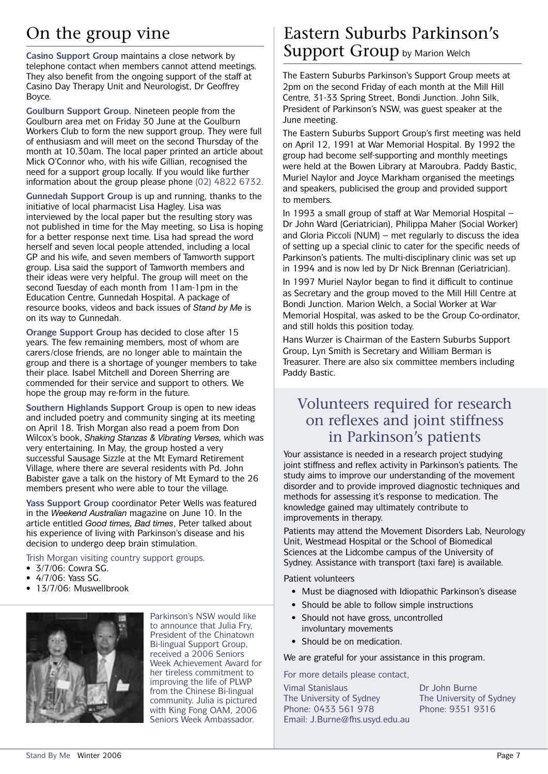# On the group vine

**Casino Support Group** maintains a close network by telephone contact when members cannot attend meetings. They also benefit from the ongoing support of the staff at Casino Day Therapy Unit and Neurologist, Dr Geoffrey Boyce.

**Goulburn Support Group**. Nineteen people from the Goulburn area met on Friday 30 June at the Goulburn Workers Club to form the new support group. They were full of enthusiasm and will meet on the second Thursday of the month at 10.30am. The local paper printed an article about Mick O'Connor who, with his wife Gillian, recognised the need for a support group locally. If you would like further information about the group please phone (02) 4822 6732.

**Gunnedah Support Group** is up and running, thanks to the initiative of local pharmacist Lisa Hagley. Lisa was interviewed by the local paper but the resulting story was not published in time for the May meeting, so Lisa is hoping for a better response next time. Lisa had spread the word herself and seven local people attended, including a local GP and his wife, and seven members of Tamworth support group. Lisa said the support of Tamworth members and their ideas were very helpful. The group will meet on the second Tuesday of each month from 11am-1pm in the Education Centre, Gunnedah Hospital. A package of resource books, videos and back issues of *Stand by Me* is on its way to Gunnedah.

**Orange Support Group** has decided to close after 15 years. The few remaining members, most of whom are carers/close friends, are no longer able to maintain the group and there is a shortage of younger members to take their place. Isabel Mitchell and Doreen Sherring are commended for their service and support to others. We hope the group may re-form in the future.

**Southern Highlands Support Group** is open to new ideas and included poetry and community singing at its meeting on April 18. Trish Morgan also read a poem from Don Wilcox's book, *Shaking Stanzas & Vibrating Verses,* which was very entertaining. In May, the group hosted a very successful Sausage Sizzle at the Mt Eymard Retirement Village, where there are several residents with Pd. John Babister gave a talk on the history of Mt Eymard to the 26 members present who were able to tour the village.

**Yass Support Group** coordinator Peter Wells was featured in the *Weekend Australian* magazine on June 10. In the article entitled *Good times, Bad times*, Peter talked about his experience of living with Parkinson's disease and his decision to undergo deep brain stimulation.

Trish Morgan visiting country support groups.

- 3/7/06: Cowra SG.
- 4/7/06: Yass SG.
- 13/7/06: Muswellbrook



Parkinson's NSW would like to announce that Julia Fry, President of the Chinatown Bi-lingual Support Group, received a 2006 Seniors Week Achievement Award for her tireless commitment to improving the life of PLWP from the Chinese Bi-lingual community. Julia is pictured with King Fong OAM, 2006 Seniors Week Ambassador.

## Eastern Suburbs Parkinson's Support Group by Marion Welch

The Eastern Suburbs Parkinson's Support Group meets at 2pm on the second Friday of each month at the Mill Hill Centre, 31-33 Spring Street, Bondi Junction. John Silk, President of Parkinson's NSW, was guest speaker at the June meeting.

The Eastern Suburbs Support Group's first meeting was held on April 12, 1991 at War Memorial Hospital. By 1992 the group had become self-supporting and monthly meetings were held at the Bowen Library at Maroubra. Paddy Bastic, Muriel Naylor and Joyce Markham organised the meetings and speakers, publicised the group and provided support to members.

In 1993 a small group of staff at War Memorial Hospital – Dr John Ward (Geriatrician), Philippa Maher (Social Worker) and Gloria Piccoli (NUM) – met regularly to discuss the idea of setting up a special clinic to cater for the specific needs of Parkinson's patients. The multi-disciplinary clinic was set up in 1994 and is now led by Dr Nick Brennan (Geriatrician).

In 1997 Muriel Naylor began to find it difficult to continue as Secretary and the group moved to the Mill Hill Centre at Bondi Junction. Marion Welch, a Social Worker at War Memorial Hospital, was asked to be the Group Co-ordinator, and still holds this position today.

Hans Wurzer is Chairman of the Eastern Suburbs Support Group, Lyn Smith is Secretary and William Berman is Treasurer. There are also six committee members including Paddy Bastic.

## Volunteers required for research on reflexes and joint stiffness in Parkinson's patients

Your assistance is needed in a research project studying joint stiffness and reflex activity in Parkinson's patients. The study aims to improve our understanding of the movement disorder and to provide improved diagnostic techniques and methods for assessing it's response to medication. The knowledge gained may ultimately contribute to improvements in therapy.

Patients may attend the Movement Disorders Lab, Neurology Unit, Westmead Hospital or the School of Biomedical Sciences at the Lidcombe campus of the University of Sydney. Assistance with transport (taxi fare) is available.

Patient volunteers

- Must be diagnosed with Idiopathic Parkinson's disease
- Should be able to follow simple instructions
- Should not have gross, uncontrolled involuntary movements
- Should be on medication.

We are grateful for your assistance in this program.

For more details please contact,

Vimal Stanislaus Dr John Burne The University of Sydney<br>
The University of Sydney Phone: 0433 561 978 Phone: 9351 9316 Email: J.Burne@fhs.usyd.edu.au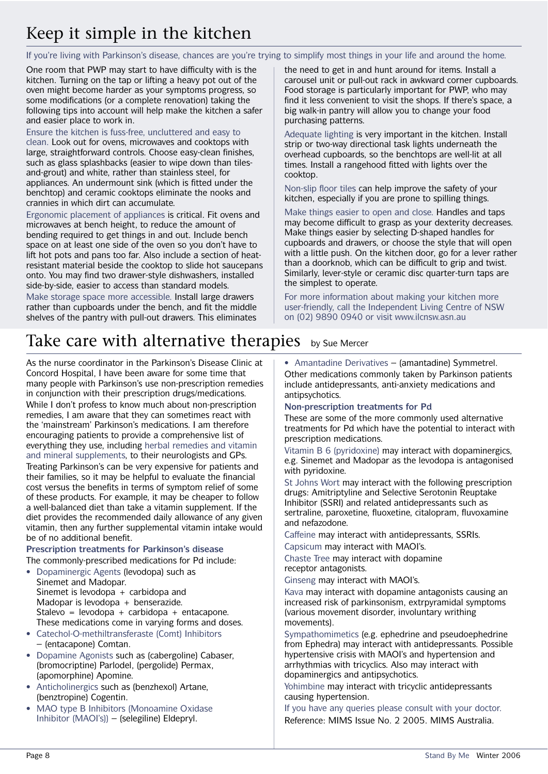# Keep it simple in the kitchen

If you're living with Parkinson's disease, chances are you're trying to simplify most things in your life and around the home.

One room that PWP may start to have difficulty with is the kitchen. Turning on the tap or lifting a heavy pot out of the oven might become harder as your symptoms progress, so some modifications (or a complete renovation) taking the following tips into account will help make the kitchen a safer and easier place to work in.

Ensure the kitchen is fuss-free, uncluttered and easy to clean. Look out for ovens, microwaves and cooktops with large, straightforward controls. Choose easy-clean finishes, such as glass splashbacks (easier to wipe down than tilesand-grout) and white, rather than stainless steel, for appliances. An undermount sink (which is fitted under the benchtop) and ceramic cooktops eliminate the nooks and crannies in which dirt can accumulate.

Ergonomic placement of appliances is critical. Fit ovens and microwaves at bench height, to reduce the amount of bending required to get things in and out. Include bench space on at least one side of the oven so you don't have to lift hot pots and pans too far. Also include a section of heatresistant material beside the cooktop to slide hot saucepans onto. You may find two drawer-style dishwashers, installed side-by-side, easier to access than standard models.

Make storage space more accessible. Install large drawers rather than cupboards under the bench, and fit the middle shelves of the pantry with pull-out drawers. This eliminates

the need to get in and hunt around for items. Install a carousel unit or pull-out rack in awkward corner cupboards. Food storage is particularly important for PWP, who may find it less convenient to visit the shops. If there's space, a big walk-in pantry will allow you to change your food purchasing patterns.

Adequate lighting is very important in the kitchen. Install strip or two-way directional task lights underneath the overhead cupboards, so the benchtops are well-lit at all times. Install a rangehood fitted with lights over the cooktop.

Non-slip floor tiles can help improve the safety of your kitchen, especially if you are prone to spilling things.

Make things easier to open and close. Handles and taps may become difficult to grasp as your dexterity decreases. Make things easier by selecting D-shaped handles for cupboards and drawers, or choose the style that will open with a little push. On the kitchen door, go for a lever rather than a doorknob, which can be difficult to grip and twist. Similarly, lever-style or ceramic disc quarter-turn taps are the simplest to operate.

For more information about making your kitchen more user-friendly, call the Independent Living Centre of NSW on (02) 9890 0940 or visit www.ilcnsw.asn.au

# Take care with alternative therapies by Sue Mercer

As the nurse coordinator in the Parkinson's Disease Clinic at Concord Hospital, I have been aware for some time that many people with Parkinson's use non-prescription remedies in conjunction with their prescription drugs/medications. While I don't profess to know much about non-prescription remedies, I am aware that they can sometimes react with the 'mainstream' Parkinson's medications. I am therefore encouraging patients to provide a comprehensive list of everything they use, including herbal remedies and vitamin and mineral supplements, to their neurologists and GPs. Treating Parkinson's can be very expensive for patients and their families, so it may be helpful to evaluate the financial cost versus the benefits in terms of symptom relief of some of these products. For example, it may be cheaper to follow a well-balanced diet than take a vitamin supplement. If the diet provides the recommended daily allowance of any given vitamin, then any further supplemental vitamin intake would be of no additional benefit.

**Prescription treatments for Parkinson's disease** The commonly-prescribed medications for Pd include:

- Dopaminergic Agents (levodopa) such as Sinemet and Madopar. Sinemet is levodopa + carbidopa and Madopar is levodopa + benserazide. Stalevo = levodopa + carbidopa + entacapone. These medications come in varying forms and doses.
- Catechol-O-methiltransferaste (Comt) Inhibitors – (entacapone) Comtan.
- Dopamine Agonists such as (cabergoline) Cabaser, (bromocriptine) Parlodel, (pergolide) Permax, (apomorphine) Apomine.
- Anticholinergics such as (benzhexol) Artane, (benztropine) Cogentin.
- MAO type B Inhibitors (Monoamine Oxidase Inhibitor (MAOI's)) – (selegiline) Eldepryl.

• Amantadine Derivatives – (amantadine) Symmetrel. Other medications commonly taken by Parkinson patients include antidepressants, anti-anxiety medications and antipsychotics.

### **Non-prescription treatments for Pd**

These are some of the more commonly used alternative treatments for Pd which have the potential to interact with prescription medications.

Vitamin B 6 (pyridoxine) may interact with dopaminergics, e.g. Sinemet and Madopar as the levodopa is antagonised with pyridoxine.

St Johns Wort may interact with the following prescription drugs: Amitriptyline and Selective Serotonin Reuptake Inhibitor (SSRI) and related antidepressants such as sertraline, paroxetine, fluoxetine, citalopram, fluvoxamine and nefazodone.

Caffeine may interact with antidepressants, SSRIs.

Capsicum may interact with MAOI's.

Chaste Tree may interact with dopamine receptor antagonists.

Ginseng may interact with MAOI's.

Kava may interact with dopamine antagonists causing an increased risk of parkinsonism, extrpyramidal symptoms (various movement disorder, involuntary writhing movements).

Sympathomimetics (e.g. ephedrine and pseudoephedrine from Ephedra) may interact with antidepressants. Possible hypertensive crisis with MAOI's and hypertension and arrhythmias with tricyclics. Also may interact with dopaminergics and antipsychotics.

Yohimbine may interact with tricyclic antidepressants causing hypertension.

If you have any queries please consult with your doctor. Reference: MIMS Issue No. 2 2005. MIMS Australia.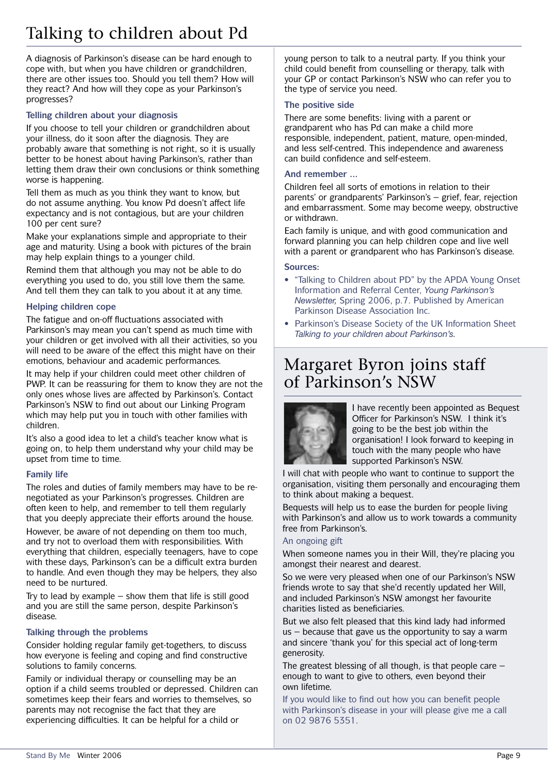# Talking to children about Pd

A diagnosis of Parkinson's disease can be hard enough to cope with, but when you have children or grandchildren, there are other issues too. Should you tell them? How will they react? And how will they cope as your Parkinson's progresses?

### **Telling children about your diagnosis**

If you choose to tell your children or grandchildren about your illness, do it soon after the diagnosis. They are probably aware that something is not right, so it is usually better to be honest about having Parkinson's, rather than letting them draw their own conclusions or think something worse is happening.

Tell them as much as you think they want to know, but do not assume anything. You know Pd doesn't affect life expectancy and is not contagious, but are your children 100 per cent sure?

Make your explanations simple and appropriate to their age and maturity. Using a book with pictures of the brain may help explain things to a younger child.

Remind them that although you may not be able to do everything you used to do, you still love them the same. And tell them they can talk to you about it at any time.

### **Helping children cope**

The fatigue and on-off fluctuations associated with Parkinson's may mean you can't spend as much time with your children or get involved with all their activities, so you will need to be aware of the effect this might have on their emotions, behaviour and academic performances.

It may help if your children could meet other children of PWP. It can be reassuring for them to know they are not the only ones whose lives are affected by Parkinson's. Contact Parkinson's NSW to find out about our Linking Program which may help put you in touch with other families with children.

It's also a good idea to let a child's teacher know what is going on, to help them understand why your child may be upset from time to time.

### **Family life**

The roles and duties of family members may have to be renegotiated as your Parkinson's progresses. Children are often keen to help, and remember to tell them regularly that you deeply appreciate their efforts around the house.

However, be aware of not depending on them too much, and try not to overload them with responsibilities. With everything that children, especially teenagers, have to cope with these days, Parkinson's can be a difficult extra burden to handle. And even though they may be helpers, they also need to be nurtured.

Try to lead by example  $-$  show them that life is still good and you are still the same person, despite Parkinson's disease.

### **Talking through the problems**

Consider holding regular family get-togethers, to discuss how everyone is feeling and coping and find constructive solutions to family concerns.

Family or individual therapy or counselling may be an option if a child seems troubled or depressed. Children can sometimes keep their fears and worries to themselves, so parents may not recognise the fact that they are experiencing difficulties. It can be helpful for a child or

young person to talk to a neutral party. If you think your child could benefit from counselling or therapy, talk with your GP or contact Parkinson's NSW who can refer you to the type of service you need.

### **The positive side**

There are some benefits: living with a parent or grandparent who has Pd can make a child more responsible, independent, patient, mature, open-minded, and less self-centred. This independence and awareness can build confidence and self-esteem.

### **And remember ...**

Children feel all sorts of emotions in relation to their parents' or grandparents' Parkinson's – grief, fear, rejection and embarrassment. Some may become weepy, obstructive or withdrawn.

Each family is unique, and with good communication and forward planning you can help children cope and live well with a parent or grandparent who has Parkinson's disease.

#### **Sources:**

- "Talking to Children about PD" by the APDA Young Onset Information and Referral Center, *Young Parkinson's Newsletter,* Spring 2006, p.7. Published by American Parkinson Disease Association Inc.
- Parkinson's Disease Society of the UK Information Sheet *Talking to your children about Parkinson's.*

## Margaret Byron joins staff of Parkinson's NSW



I have recently been appointed as Bequest Officer for Parkinson's NSW. I think it's going to be the best job within the organisation! I look forward to keeping in touch with the many people who have supported Parkinson's NSW.

I will chat with people who want to continue to support the organisation, visiting them personally and encouraging them to think about making a bequest.

Bequests will help us to ease the burden for people living with Parkinson's and allow us to work towards a community free from Parkinson's.

### An ongoing gift

When someone names you in their Will, they're placing you amongst their nearest and dearest.

So we were very pleased when one of our Parkinson's NSW friends wrote to say that she'd recently updated her Will, and included Parkinson's NSW amongst her favourite charities listed as beneficiaries.

But we also felt pleased that this kind lady had informed us – because that gave us the opportunity to say a warm and sincere 'thank you' for this special act of long-term generosity.

The greatest blessing of all though, is that people care – enough to want to give to others, even beyond their own lifetime.

If you would like to find out how you can benefit people with Parkinson's disease in your will please give me a call on 02 9876 5351.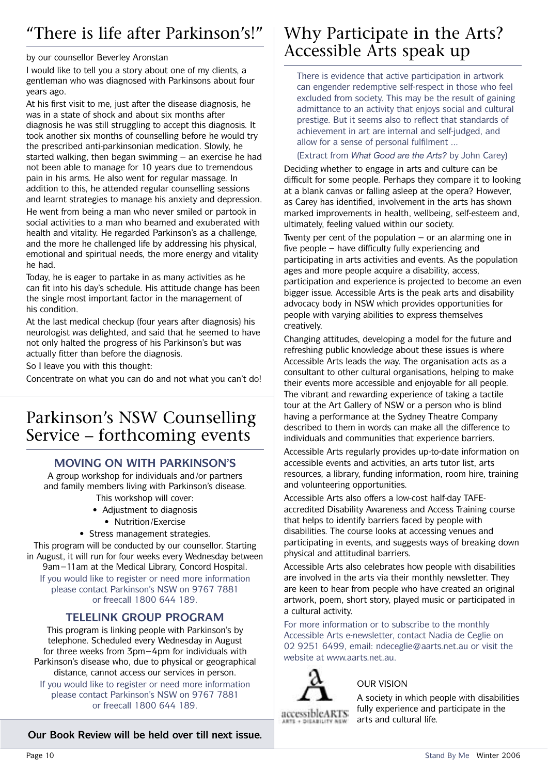# "There is life after Parkinson's!"

#### by our counsellor Beverley Aronstan

I would like to tell you a story about one of my clients, a gentleman who was diagnosed with Parkinsons about four years ago.

At his first visit to me, just after the disease diagnosis, he was in a state of shock and about six months after diagnosis he was still struggling to accept this diagnosis. It took another six months of counselling before he would try the prescribed anti-parkinsonian medication. Slowly, he started walking, then began swimming – an exercise he had not been able to manage for 10 years due to tremendous pain in his arms. He also went for regular massage. In addition to this, he attended regular counselling sessions and learnt strategies to manage his anxiety and depression. He went from being a man who never smiled or partook in social activities to a man who beamed and exuberated with health and vitality. He regarded Parkinson's as a challenge, and the more he challenged life by addressing his physical, emotional and spiritual needs, the more energy and vitality he had.

Today, he is eager to partake in as many activities as he can fit into his day's schedule. His attitude change has been the single most important factor in the management of his condition.

At the last medical checkup (four years after diagnosis) his neurologist was delighted, and said that he seemed to have not only halted the progress of his Parkinson's but was actually fitter than before the diagnosis.

So I leave you with this thought:

Concentrate on what you can do and not what you can't do!

## Parkinson's NSW Counselling Service – forthcoming events

### **MOVING ON WITH PARKINSON'S**

A group workshop for individuals and/or partners and family members living with Parkinson's disease.

- This workshop will cover:
- Adjustment to diagnosis
	- Nutrition/Exercise
- Stress management strategies.

This program will be conducted by our counsellor. Starting in August, it will run for four weeks every Wednesday between 9am–11am at the Medical Library, Concord Hospital. If you would like to register or need more information please contact Parkinson's NSW on 9767 7881 or freecall 1800 644 189.

### **TELELINK GROUP PROGRAM**

This program is linking people with Parkinson's by telephone. Scheduled every Wednesday in August for three weeks from 3pm–4pm for individuals with Parkinson's disease who, due to physical or geographical distance, cannot access our services in person.

If you would like to register or need more information please contact Parkinson's NSW on 9767 7881 or freecall 1800 644 189.

**Our Book Review will be held over till next issue.**

## Why Participate in the Arts? Accessible Arts speak up

There is evidence that active participation in artwork can engender redemptive self-respect in those who feel excluded from society. This may be the result of gaining admittance to an activity that enjoys social and cultural prestige. But it seems also to reflect that standards of achievement in art are internal and self-judged, and allow for a sense of personal fulfilment ...

#### (Extract from *What Good are the Arts?* by John Carey)

Deciding whether to engage in arts and culture can be difficult for some people. Perhaps they compare it to looking at a blank canvas or falling asleep at the opera? However, as Carey has identified, involvement in the arts has shown marked improvements in health, wellbeing, self-esteem and, ultimately, feeling valued within our society.

Twenty per cent of the population  $-$  or an alarming one in five people – have difficulty fully experiencing and participating in arts activities and events. As the population ages and more people acquire a disability, access, participation and experience is projected to become an even bigger issue. Accessible Arts is the peak arts and disability advocacy body in NSW which provides opportunities for people with varying abilities to express themselves creatively.

Changing attitudes, developing a model for the future and refreshing public knowledge about these issues is where Accessible Arts leads the way. The organisation acts as a consultant to other cultural organisations, helping to make their events more accessible and enjoyable for all people. The vibrant and rewarding experience of taking a tactile tour at the Art Gallery of NSW or a person who is blind having a performance at the Sydney Theatre Company described to them in words can make all the difference to individuals and communities that experience barriers.

Accessible Arts regularly provides up-to-date information on accessible events and activities, an arts tutor list, arts resources, a library, funding information, room hire, training and volunteering opportunities.

Accessible Arts also offers a low-cost half-day TAFEaccredited Disability Awareness and Access Training course that helps to identify barriers faced by people with disabilities. The course looks at accessing venues and participating in events, and suggests ways of breaking down physical and attitudinal barriers.

Accessible Arts also celebrates how people with disabilities are involved in the arts via their monthly newsletter. They are keen to hear from people who have created an original artwork, poem, short story, played music or participated in a cultural activity.

For more information or to subscribe to the monthly Accessible Arts e-newsletter, contact Nadia de Ceglie on 02 9251 6499, email: ndeceglie@aarts.net.au or visit the website at www.aarts.net.au.



### OUR VISION

A society in which people with disabilities fully experience and participate in the arts and cultural life.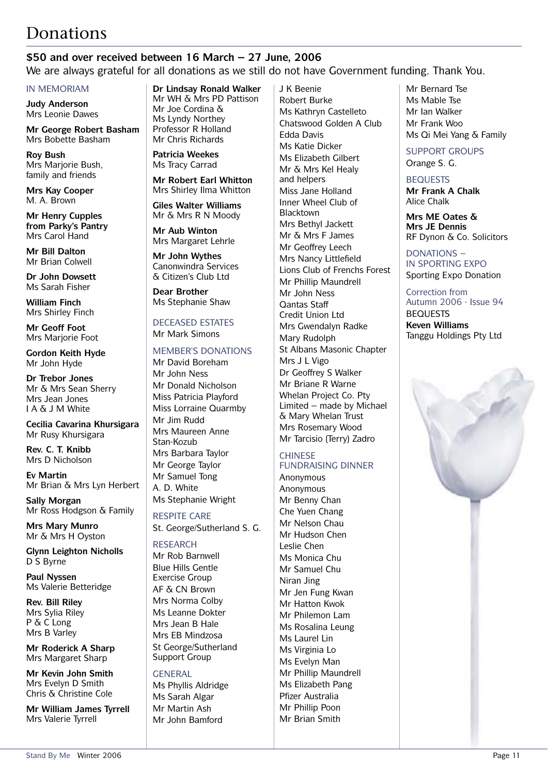# Donations

### **\$50 and over received between 16 March – 27 June, 2006**

We are always grateful for all donations as we still do not have Government funding. Thank You.

#### IN MEMORIAM

**Judy Anderson** Mrs Leonie Dawes

**Mr George Robert Basham** Mrs Bobette Basham

**Roy Bush** Mrs Marjorie Bush, family and friends

**Mrs Kay Cooper** M. A. Brown

**Mr Henry Cupples from Parky's Pantry** Mrs Carol Hand

**Mr Bill Dalton** Mr Brian Colwell

**Dr John Dowsett** Ms Sarah Fisher

**William Finch** Mrs Shirley Finch

**Mr Geoff Foot** Mrs Marjorie Foot

**Gordon Keith Hyde** Mr John Hyde

**Dr Trebor Jones** Mr & Mrs Sean Sherry Mrs Jean Jones I A & J M White

**Cecilia Cavarina Khursigara** Mr Rusy Khursigara

**Rev. C. T. Knibb** Mrs D Nicholson

**Ev Martin** Mr Brian & Mrs Lyn Herbert

**Sally Morgan** Mr Ross Hodgson & Family

**Mrs Mary Munro** Mr & Mrs H Oyston

**Glynn Leighton Nicholls** D S Byrne

**Paul Nyssen** Ms Valerie Betteridge

**Rev. Bill Riley** Mrs Sylia Riley P & C Long Mrs B Varley

**Mr Roderick A Sharp** Mrs Margaret Sharp

**Mr Kevin John Smith** Mrs Evelyn D Smith Chris & Christine Cole

**Mr William James Tyrrell** Mrs Valerie Tyrrell

**Dr Lindsay Ronald Walker** Mr WH & Mrs PD Pattison Mr Joe Cordina & Ms Lyndy Northey Professor R Holland Mr Chris Richards

**Patricia Weekes** Ms Tracy Carrad

**Mr Robert Earl Whitton** Mrs Shirley Ilma Whitton

**Giles Walter Williams** Mr & Mrs R N Moody

**Mr Aub Winton** Mrs Margaret Lehrle

**Mr John Wythes** Canonwindra Services & Citizen's Club Ltd

**Dear Brother** Ms Stephanie Shaw

DECEASED ESTATES Mr Mark Simons

#### MEMBER'S DONATIONS

Mr David Boreham Mr John Ness Mr Donald Nicholson Miss Patricia Playford Miss Lorraine Quarmby Mr Jim Rudd Mrs Maureen Anne Stan-Kozub Mrs Barbara Taylor Mr George Taylor Mr Samuel Tong A. D. White Ms Stephanie Wright

RESPITE CARE St. George/Sutherland S. G.

### RESEARCH

Mr Rob Barnwell Blue Hills Gentle Exercise Group AF & CN Brown Mrs Norma Colby Ms Leanne Dokter Mrs Jean B Hale Mrs EB Mindzosa St George/Sutherland Support Group

#### GENERAL

Ms Phyllis Aldridge Ms Sarah Algar Mr Martin Ash Mr John Bamford

J K Beenie Robert Burke Ms Kathryn Castelleto Chatswood Golden A Club Edda Davis Ms Katie Dicker Ms Elizabeth Gilbert Mr & Mrs Kel Healy and helpers Miss Jane Holland Inner Wheel Club of Blacktown Mrs Bethyl Jackett Mr & Mrs F James Mr Geoffrey Leech Mrs Nancy Littlefield Lions Club of Frenchs Forest Mr Phillip Maundrell Mr John Ness Qantas Staff Credit Union Ltd Mrs Gwendalyn Radke Mary Rudolph St Albans Masonic Chapter Mrs J L Vigo Dr Geoffrey S Walker Mr Briane R Warne Whelan Project Co. Pty Limited – made by Michael & Mary Whelan Trust Mrs Rosemary Wood Mr Tarcisio (Terry) Zadro

### **CHINESE**

FUNDRAISING DINNER

Anonymous Anonymous Mr Benny Chan Che Yuen Chang Mr Nelson Chau Mr Hudson Chen Leslie Chen Ms Monica Chu Mr Samuel Chu Niran Jing Mr Jen Fung Kwan Mr Hatton Kwok Mr Philemon Lam Ms Rosalina Leung Ms Laurel Lin Ms Virginia Lo Ms Evelyn Man Mr Phillip Maundrell Ms Elizabeth Pang Pfizer Australia Mr Phillip Poon Mr Brian Smith

Mr Bernard Tse Ms Mable Tse Mr Ian Walker Mr Frank Woo Ms Qi Mei Yang & Family

SUPPORT GROUPS Orange S. G.

### **BEQUESTS**

**Mr Frank A Chalk** Alice Chalk

**Mrs ME Oates & Mrs JE Dennis** RF Dynon & Co. Solicitors

#### DONATIONS – IN SPORTING EXPO Sporting Expo Donation

Correction from Autumn 2006 - Issue 94 **BEQUESTS Keven Williams** Tanggu Holdings Pty Ltd